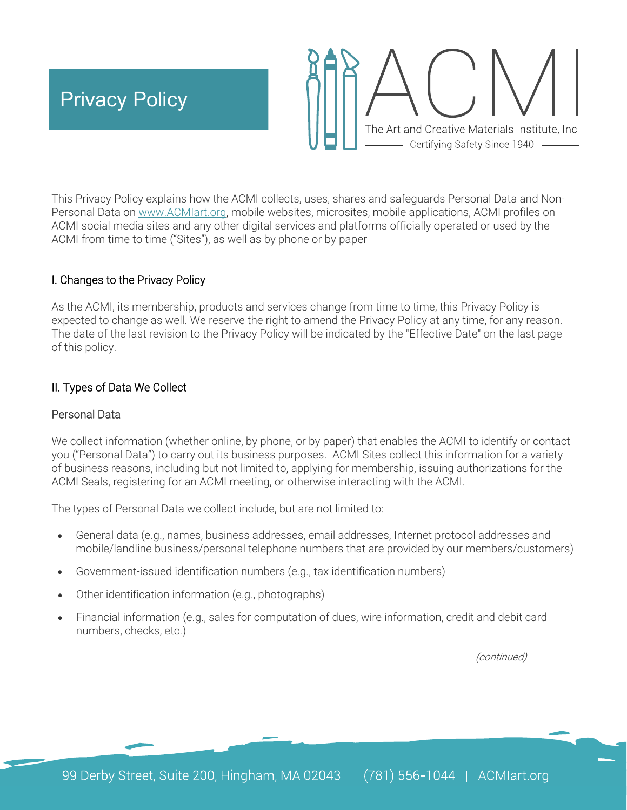

This Privacy Policy explains how the ACMI collects, uses, shares and safeguards Personal Data and Non-Personal Data on www.ACMIart.org, mobile websites, microsites, mobile applications, ACMI profiles on ACMI social media sites and any other digital services and platforms officially operated or used by the ACMI from time to time ("Sites"), as well as by phone or by paper

## I. Changes to the Privacy Policy

As the ACMI, its membership, products and services change from time to time, this Privacy Policy is expected to change as well. We reserve the right to amend the Privacy Policy at any time, for any reason. The date of the last revision to the Privacy Policy will be indicated by the "Effective Date" on the last page of this policy.

# II. Types of Data We Collect

### Personal Data

We collect information (whether online, by phone, or by paper) that enables the ACMI to identify or contact you ("Personal Data") to carry out its business purposes. ACMI Sites collect this information for a variety of business reasons, including but not limited to, applying for membership, issuing authorizations for the ACMI Seals, registering for an ACMI meeting, or otherwise interacting with the ACMI.

The types of Personal Data we collect include, but are not limited to:

- General data (e.g., names, business addresses, email addresses, Internet protocol addresses and mobile/landline business/personal telephone numbers that are provided by our members/customers)
- Government-issued identification numbers (e.g., tax identification numbers)
- Other identification information (e.g., photographs)
- Financial information (e.g., sales for computation of dues, wire information, credit and debit card numbers, checks, etc.)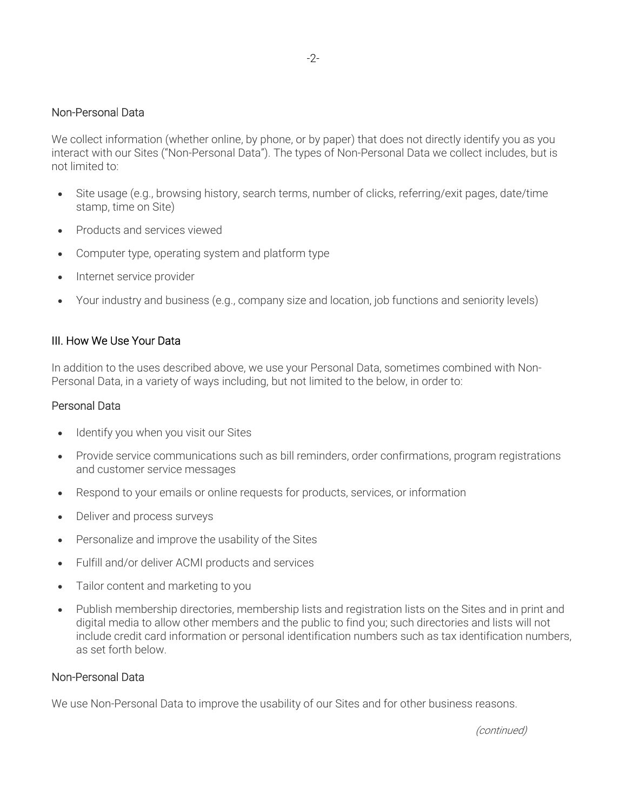## Non-Personal Data

We collect information (whether online, by phone, or by paper) that does not directly identify you as you interact with our Sites ("Non-Personal Data"). The types of Non-Personal Data we collect includes, but is not limited to:

-2-

- Site usage (e.g., browsing history, search terms, number of clicks, referring/exit pages, date/time stamp, time on Site)
- Products and services viewed
- Computer type, operating system and platform type
- Internet service provider
- Your industry and business (e.g., company size and location, job functions and seniority levels)

#### III. How We Use Your Data

In addition to the uses described above, we use your Personal Data, sometimes combined with Non-Personal Data, in a variety of ways including, but not limited to the below, in order to:

#### Personal Data

- Identify you when you visit our Sites
- Provide service communications such as bill reminders, order confirmations, program registrations and customer service messages
- Respond to your emails or online requests for products, services, or information
- Deliver and process surveys
- Personalize and improve the usability of the Sites
- Fulfill and/or deliver ACMI products and services
- Tailor content and marketing to you
- Publish membership directories, membership lists and registration lists on the Sites and in print and digital media to allow other members and the public to find you; such directories and lists will not include credit card information or personal identification numbers such as tax identification numbers, as set forth below.

#### Non-Personal Data

We use Non-Personal Data to improve the usability of our Sites and for other business reasons.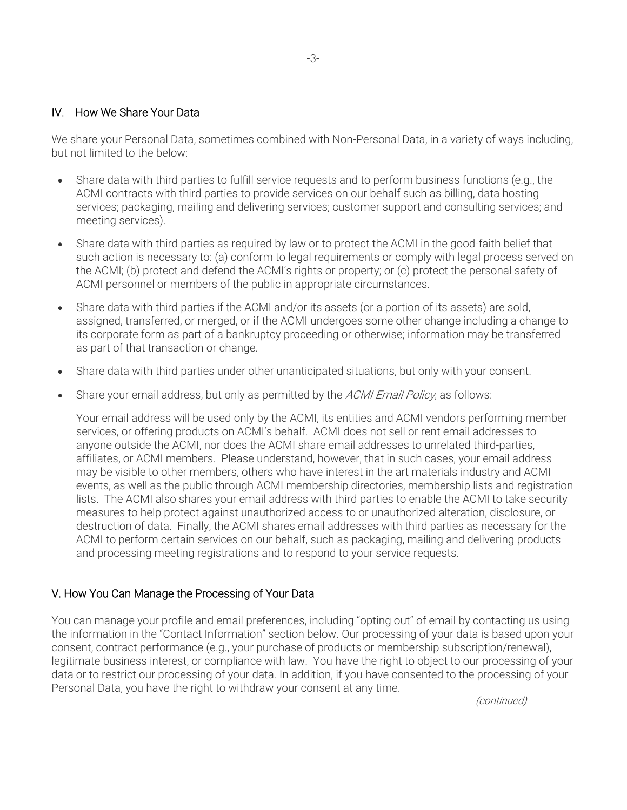## IV. How We Share Your Data

We share your Personal Data, sometimes combined with Non-Personal Data, in a variety of ways including, but not limited to the below:

- Share data with third parties to fulfill service requests and to perform business functions (e.g., the ACMI contracts with third parties to provide services on our behalf such as billing, data hosting services; packaging, mailing and delivering services; customer support and consulting services; and meeting services).
- Share data with third parties as required by law or to protect the ACMI in the good-faith belief that such action is necessary to: (a) conform to legal requirements or comply with legal process served on the ACMI; (b) protect and defend the ACMI's rights or property; or (c) protect the personal safety of ACMI personnel or members of the public in appropriate circumstances.
- Share data with third parties if the ACMI and/or its assets (or a portion of its assets) are sold, assigned, transferred, or merged, or if the ACMI undergoes some other change including a change to its corporate form as part of a bankruptcy proceeding or otherwise; information may be transferred as part of that transaction or change.
- Share data with third parties under other unanticipated situations, but only with your consent.
- Share your email address, but only as permitted by the ACMI Email Policy, as follows:

Your email address will be used only by the ACMI, its entities and ACMI vendors performing member services, or offering products on ACMI's behalf. ACMI does not sell or rent email addresses to anyone outside the ACMI, nor does the ACMI share email addresses to unrelated third-parties, affiliates, or ACMI members. Please understand, however, that in such cases, your email address may be visible to other members, others who have interest in the art materials industry and ACMI events, as well as the public through ACMI membership directories, membership lists and registration lists. The ACMI also shares your email address with third parties to enable the ACMI to take security measures to help protect against unauthorized access to or unauthorized alteration, disclosure, or destruction of data. Finally, the ACMI shares email addresses with third parties as necessary for the ACMI to perform certain services on our behalf, such as packaging, mailing and delivering products and processing meeting registrations and to respond to your service requests.

### V. How You Can Manage the Processing of Your Data

You can manage your profile and email preferences, including "opting out" of email by contacting us using the information in the "Contact Information" section below. Our processing of your data is based upon your consent, contract performance (e.g., your purchase of products or membership subscription/renewal), legitimate business interest, or compliance with law. You have the right to object to our processing of your data or to restrict our processing of your data. In addition, if you have consented to the processing of your Personal Data, you have the right to withdraw your consent at any time.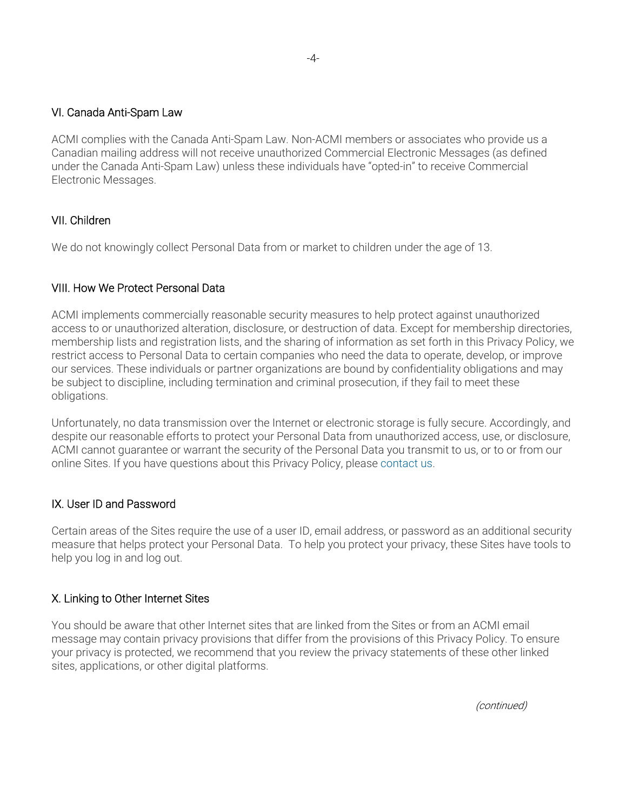### VI. Canada Anti-Spam Law

ACMI complies with the Canada Anti-Spam Law. Non-ACMI members or associates who provide us a Canadian mailing address will not receive unauthorized Commercial Electronic Messages (as defined under the Canada Anti-Spam Law) unless these individuals have "opted-in" to receive Commercial Electronic Messages.

# VII. Children

We do not knowingly collect Personal Data from or market to children under the age of 13.

# VIII. How We Protect Personal Data

ACMI implements commercially reasonable security measures to help protect against unauthorized access to or unauthorized alteration, disclosure, or destruction of data. Except for membership directories, membership lists and registration lists, and the sharing of information as set forth in this Privacy Policy, we restrict access to Personal Data to certain companies who need the data to operate, develop, or improve our services. These individuals or partner organizations are bound by confidentiality obligations and may be subject to discipline, including termination and criminal prosecution, if they fail to meet these obligations.

Unfortunately, no data transmission over the Internet or electronic storage is fully secure. Accordingly, and despite our reasonable efforts to protect your Personal Data from unauthorized access, use, or disclosure, ACMI cannot guarantee or warrant the security of the Personal Data you transmit to us, or to or from our online Sites. If you have questions about this Privacy Policy, please contact us.

# IX. User ID and Password

Certain areas of the Sites require the use of a user ID, email address, or password as an additional security measure that helps protect your Personal Data. To help you protect your privacy, these Sites have tools to help you log in and log out.

# X. Linking to Other Internet Sites

You should be aware that other Internet sites that are linked from the Sites or from an ACMI email message may contain privacy provisions that differ from the provisions of this Privacy Policy. To ensure your privacy is protected, we recommend that you review the privacy statements of these other linked sites, applications, or other digital platforms.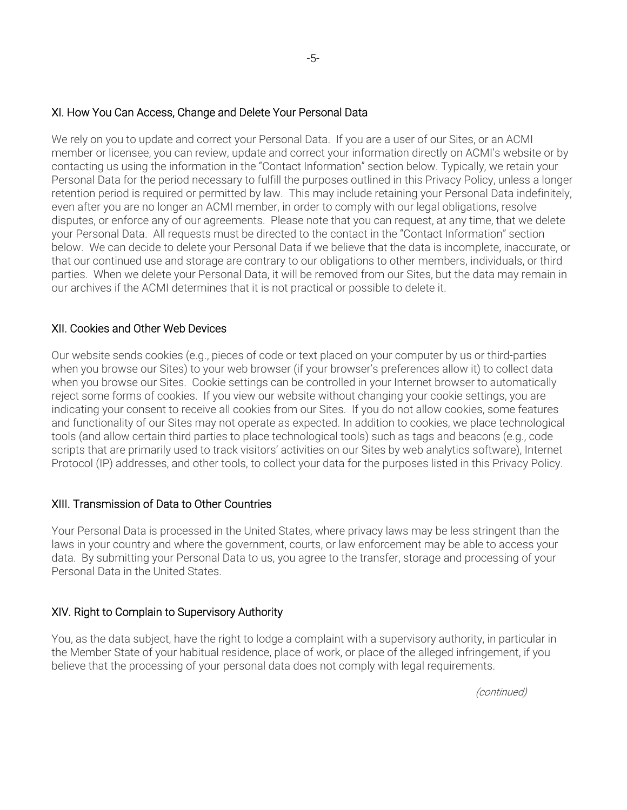### XI. How You Can Access, Change and Delete Your Personal Data

We rely on you to update and correct your Personal Data. If you are a user of our Sites, or an ACMI member or licensee, you can review, update and correct your information directly on ACMI's website or by contacting us using the information in the "Contact Information" section below. Typically, we retain your Personal Data for the period necessary to fulfill the purposes outlined in this Privacy Policy, unless a longer retention period is required or permitted by law. This may include retaining your Personal Data indefinitely, even after you are no longer an ACMI member, in order to comply with our legal obligations, resolve disputes, or enforce any of our agreements. Please note that you can request, at any time, that we delete your Personal Data. All requests must be directed to the contact in the "Contact Information" section below. We can decide to delete your Personal Data if we believe that the data is incomplete, inaccurate, or that our continued use and storage are contrary to our obligations to other members, individuals, or third parties. When we delete your Personal Data, it will be removed from our Sites, but the data may remain in our archives if the ACMI determines that it is not practical or possible to delete it.

## XII. Cookies and Other Web Devices

Our website sends cookies (e.g., pieces of code or text placed on your computer by us or third-parties when you browse our Sites) to your web browser (if your browser's preferences allow it) to collect data when you browse our Sites. Cookie settings can be controlled in your Internet browser to automatically reject some forms of cookies. If you view our website without changing your cookie settings, you are indicating your consent to receive all cookies from our Sites. If you do not allow cookies, some features and functionality of our Sites may not operate as expected. In addition to cookies, we place technological tools (and allow certain third parties to place technological tools) such as tags and beacons (e.g., code scripts that are primarily used to track visitors' activities on our Sites by web analytics software), Internet Protocol (IP) addresses, and other tools, to collect your data for the purposes listed in this Privacy Policy.

# XIII. Transmission of Data to Other Countries

Your Personal Data is processed in the United States, where privacy laws may be less stringent than the laws in your country and where the government, courts, or law enforcement may be able to access your data. By submitting your Personal Data to us, you agree to the transfer, storage and processing of your Personal Data in the United States.

### XIV. Right to Complain to Supervisory Authority

You, as the data subject, have the right to lodge a complaint with a supervisory authority, in particular in the Member State of your habitual residence, place of work, or place of the alleged infringement, if you believe that the processing of your personal data does not comply with legal requirements.